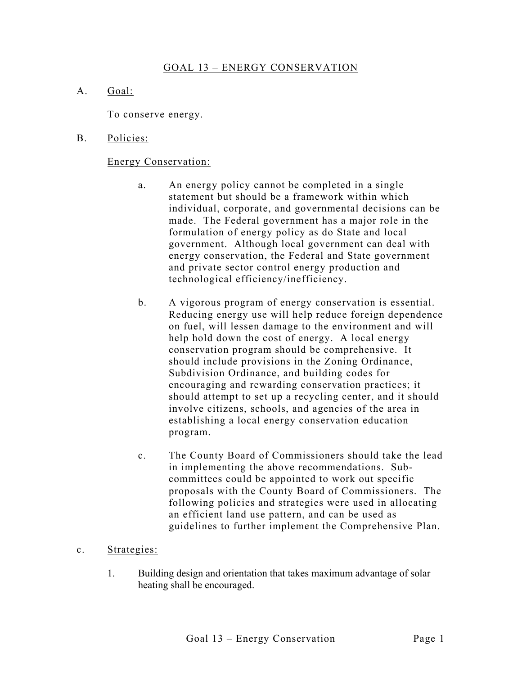## GOAL 13 – ENERGY CONSERVATION

A. Goal:

To conserve energy.

B. Policies:

## Energy Conservation:

- a. An energy policy cannot be completed in a single statement but should be a framework within which individual, corporate, and governmental decisions can be made. The Federal government has a major role in the formulation of energy policy as do State and local government. Although local government can deal with energy conservation, the Federal and State government and private sector control energy production and technological efficiency/inefficiency.
- b. A vigorous program of energy conservation is essential. Reducing energy use will help reduce foreign dependence on fuel, will lessen damage to the environment and will help hold down the cost of energy. A local energy conservation program should be comprehensive. It should include provisions in the Zoning Ordinance, Subdivision Ordinance, and building codes for encouraging and rewarding conservation practices; it should attempt to set up a recycling center, and it should involve citizens, schools, and agencies of the area in establishing a local energy conservation education program.
- c. The County Board of Commissioners should take the lead in implementing the above recommendations. Subcommittees could be appointed to work out specific proposals with the County Board of Commissioners. The following policies and strategies were used in allocating an efficient land use pattern, and can be used as guidelines to further implement the Comprehensive Plan.

## c. Strategies:

1. Building design and orientation that takes maximum advantage of solar heating shall be encouraged.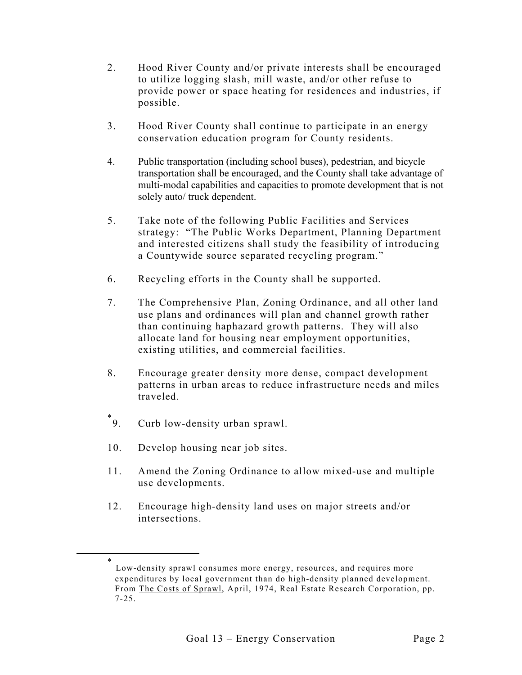- 2. Hood River County and/or private interests shall be encouraged to utilize logging slash, mill waste, and/or other refuse to provide power or space heating for residences and industries, if possible.
- 3. Hood River County shall continue to participate in an energy conservation education program for County residents.
- 4. Public transportation (including school buses), pedestrian, and bicycle transportation shall be encouraged, and the County shall take advantage of multi-modal capabilities and capacities to promote development that is not solely auto/ truck dependent.
- 5. Take note of the following Public Facilities and Services strategy: "The Public Works Department, Planning Department and interested citizens shall study the feasibility of introducing a Countywide source separated recycling program."
- 6. Recycling efforts in the County shall be supported.
- 7. The Comprehensive Plan, Zoning Ordinance, and all other land use plans and ordinances will plan and channel growth rather than continuing haphazard growth patterns. They will also allocate land for housing near employment opportunities, existing utilities, and commercial facilities.
- 8. Encourage greater density more dense, compact development patterns in urban areas to reduce infrastructure needs and miles traveled.
- $^*$  $^*$ 9. Curb low-density urban sprawl.
- 10. Develop housing near job sites.
- 11. Amend the Zoning Ordinance to allow mixed-use and multiple use developments.
- 12. Encourage high-density land uses on major streets and/or intersections.

<span id="page-1-0"></span> <sup>\*</sup> Low-density sprawl consumes more energy, resources, and requires more expenditures by local government than do high-density planned development. From The Costs of Sprawl, April, 1974, Real Estate Research Corporation, pp. 7-25.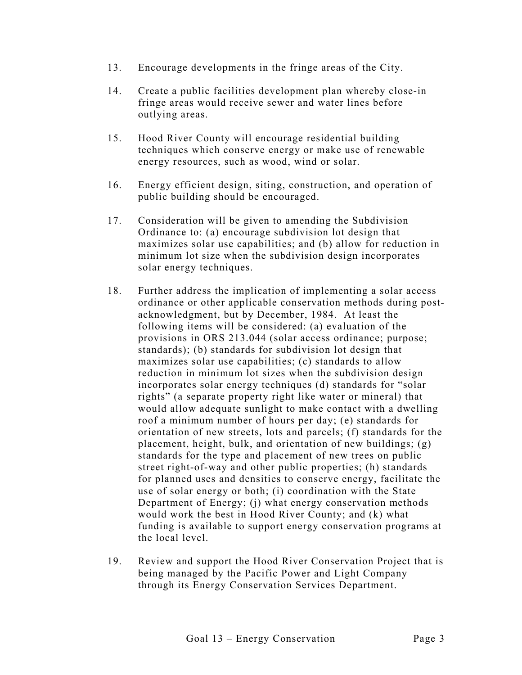- 13. Encourage developments in the fringe areas of the City.
- 14. Create a public facilities development plan whereby close-in fringe areas would receive sewer and water lines before outlying areas.
- 15. Hood River County will encourage residential building techniques which conserve energy or make use of renewable energy resources, such as wood, wind or solar.
- 16. Energy efficient design, siting, construction, and operation of public building should be encouraged.
- 17. Consideration will be given to amending the Subdivision Ordinance to: (a) encourage subdivision lot design that maximizes solar use capabilities; and (b) allow for reduction in minimum lot size when the subdivision design incorporates solar energy techniques.
- 18. Further address the implication of implementing a solar access ordinance or other applicable conservation methods during postacknowledgment, but by December, 1984. At least the following items will be considered: (a) evaluation of the provisions in ORS 213.044 (solar access ordinance; purpose; standards); (b) standards for subdivision lot design that maximizes solar use capabilities; (c) standards to allow reduction in minimum lot sizes when the subdivision design incorporates solar energy techniques (d) standards for "solar rights" (a separate property right like water or mineral) that would allow adequate sunlight to make contact with a dwelling roof a minimum number of hours per day; (e) standards for orientation of new streets, lots and parcels; (f) standards for the placement, height, bulk, and orientation of new buildings; (g) standards for the type and placement of new trees on public street right-of-way and other public properties; (h) standards for planned uses and densities to conserve energy, facilitate the use of solar energy or both; (i) coordination with the State Department of Energy; (j) what energy conservation methods would work the best in Hood River County; and (k) what funding is available to support energy conservation programs at the local level.
- 19. Review and support the Hood River Conservation Project that is being managed by the Pacific Power and Light Company through its Energy Conservation Services Department.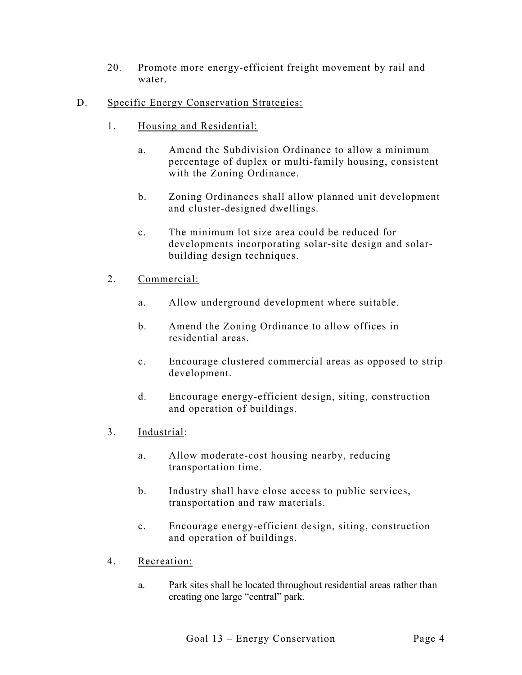- 20. Promote more energy-efficient freight movement by rail and water.
- D. Specific Energy Conservation Strategies:
	- 1. Housing and Residential:
		- a. Amend the Subdivision Ordinance to allow a minimum percentage of duplex or multi-family housing, consistent with the Zoning Ordinance.
		- b. Zoning Ordinances shall allow planned unit development and cluster-designed dwellings.
		- c. The minimum lot size area could be reduced for developments incorporating solar-site design and solarbuilding design techniques.
	- 2. Commercial:
		- a. Allow underground development where suitable.
		- b. Amend the Zoning Ordinance to allow offices in residential areas.
		- c. Encourage clustered commercial areas as opposed to strip development.
		- d. Encourage energy-efficient design, siting, construction and operation of buildings.
	- 3. Industrial:
		- a. Allow moderate-cost housing nearby, reducing transportation time.
		- b. Industry shall have close access to public services, transportation and raw materials.
		- c. Encourage energy-efficient design, siting, construction and operation of buildings.
	- 4. Recreation:
		- a. Park sites shall be located throughout residential areas rather than creating one large "central" park.